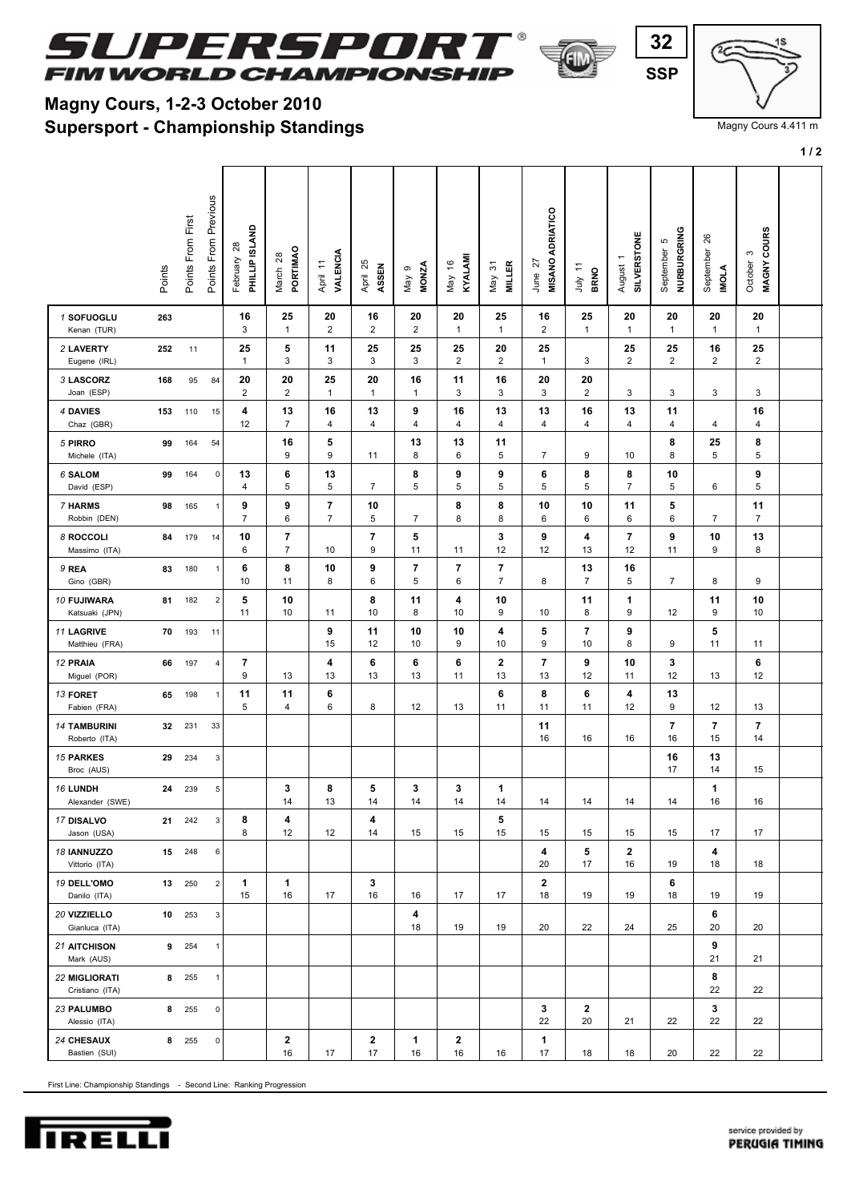

## **Supersport - Championship Standings Magny Cours, 1-2-3 October 2010**

 $\sqrt{ }$ 

∍

First Line: Championship Standings - Second Line: Ranking Progression

| service provided by |  |
|---------------------|--|
| PERUGIA TIMING      |  |
|                     |  |

|                                         | Points | Points From First | Previous<br>From<br>Points | PHILLIP ISLAND<br>$\overline{28}$<br>February | PORTIMAO<br>March 28             | <b>VALENCIA</b><br>April 11      | 25<br>ASSEN<br>April | <b>MONZA</b><br>ၜ<br>Vay | KYALAMI<br>$\overset{\circ}{\tau}$<br>May | <b>MILLER</b><br>$\overline{5}$<br>Vay | <b>MISANO ADRIATICO</b><br>27<br>June | July 11<br><b>BRNO</b> | <b>SILVERSTONE</b><br>August 1 | NURBURGRING<br>September 5 | 8<br>September<br>IMOLA | MAGNY COURS<br>S<br>October |  |
|-----------------------------------------|--------|-------------------|----------------------------|-----------------------------------------------|----------------------------------|----------------------------------|----------------------|--------------------------|-------------------------------------------|----------------------------------------|---------------------------------------|------------------------|--------------------------------|----------------------------|-------------------------|-----------------------------|--|
| 1 SOFUOGLU<br>Kenan (TUR)               | 263    |                   |                            | 16<br>3                                       | 25<br>$\mathbf{1}$               | 20<br>2                          | 16<br>2              | 20<br>2                  | 20<br>$\mathbf{1}$                        | 25<br>$\mathbf{1}$                     | 16<br>2                               | 25<br>$\mathbf{1}$     | 20<br>$\mathbf{1}$             | 20<br>$\mathbf{1}$         | 20<br>$\mathbf{1}$      | 20<br>$\mathbf{1}$          |  |
| 2 LAVERTY<br>Eugene (IRL)               | 252    | 11                |                            | 25<br>1                                       | 5<br>3                           | 11<br>3                          | 25<br>3              | 25<br>3                  | 25<br>$\overline{2}$                      | 20<br>$\overline{2}$                   | 25<br>$\mathbf{1}$                    | 3                      | 25<br>$\overline{2}$           | 25<br>$\overline{2}$       | 16<br>$\overline{2}$    | 25<br>$\overline{2}$        |  |
| 3 LASCORZ<br>Joan (ESP)                 | 168    | 95                | 84                         | 20<br>$\overline{\mathbf{c}}$                 | 20<br>$\overline{2}$             | 25<br>$\mathbf{1}$               | 20<br>$\mathbf{1}$   | 16<br>$\mathbf{1}$       | 11<br>3                                   | 16<br>3                                | 20<br>3                               | 20<br>$\overline{2}$   | 3                              | 3                          | 3                       | 3                           |  |
| 4 DAVIES<br>Chaz (GBR)                  | 153    | 110               | 15                         | 4<br>12                                       | 13<br>7                          | 16<br>4                          | 13<br>4              | 9<br>4                   | 16<br>4                                   | 13<br>4                                | 13<br>4                               | 16<br>4                | 13<br>4                        | 11<br>4                    | 4                       | 16<br>4                     |  |
| 5 PIRRO<br>Michele (ITA)                | 99     | 164               | 54                         |                                               | 16<br>9                          | 5<br>9                           | 11                   | 13<br>8                  | 13<br>6                                   | 11<br>5                                | $\overline{7}$                        | 9                      | 10                             | 8<br>8                     | 25<br>5                 | 8<br>5                      |  |
| <b>6 SALOM</b><br>David (ESP)           | 99     | 164               | $\mathsf 0$                | 13<br>4                                       | 6<br>5                           | 13<br>5                          | $\overline{7}$       | 8<br>5                   | 9<br>5                                    | 9<br>5                                 | 6<br>5                                | 8<br>5                 | 8<br>$\overline{7}$            | 10<br>5                    | 6                       | 9<br>5                      |  |
| 7 HARMS<br>Robbin (DEN)                 | 98     | 165               | $\mathbf{1}$               | 9<br>7                                        | 9<br>6                           | $\overline{7}$<br>$\overline{7}$ | 10<br>5              | 7                        | 8<br>8                                    | 8<br>8                                 | 10<br>6                               | 10<br>6                | 11<br>6                        | 5<br>6                     | 7                       | 11<br>7                     |  |
| 8 ROCCOLI<br>Massimo (ITA)              | 84     | 179               | 14                         | 10<br>6                                       | $\overline{7}$<br>$\overline{7}$ | 10                               | 7<br>9               | 5<br>11                  | 11                                        | 3<br>12                                | 9<br>12                               | 4<br>13                | $\overline{\mathbf{7}}$<br>12  | 9<br>11                    | 10<br>9                 | 13<br>8                     |  |
| 9 REA<br>Gino (GBR)                     | 83     | 180               | $\mathbf{1}$               | 6<br>10                                       | 8<br>11                          | 10<br>8                          | 9<br>6               | 7<br>5                   | 7<br>6                                    | 7<br>$\overline{7}$                    | 8                                     | 13<br>$\overline{7}$   | 16<br>5                        | $\overline{7}$             | 8                       | 9                           |  |
| 10 FUJIWARA<br>Katsuaki (JPN)           | 81     | 182               | $\boldsymbol{2}$           | 5<br>11                                       | 10<br>10                         | 11                               | 8<br>10              | 11<br>8                  | 4<br>10                                   | 10<br>9                                | 10                                    | 11<br>8                | 1<br>9                         | 12                         | 11<br>9                 | 10<br>10                    |  |
| 11 LAGRIVE<br>Matthieu (FRA)            | 70     | 193               | 11                         |                                               |                                  | 9<br>15                          | 11<br>12             | 10<br>10                 | 10<br>9                                   | 4<br>10                                | 5<br>9                                | 7<br>10                | 9<br>8                         | 9                          | 5<br>11                 | 11                          |  |
| 12 PRAIA<br>Miguel (POR)                | 66     | 197               | 4                          | 7<br>9                                        | 13                               | 4<br>13                          | 6<br>13              | 6<br>13                  | 6<br>11                                   | $\mathbf 2$<br>13                      | 7<br>13                               | 9<br>12                | 10<br>11                       | 3<br>12                    | 13                      | 6<br>12                     |  |
| 13 FORET<br>Fabien (FRA)                | 65     | 198               | $\mathbf{1}$               | 11<br>5                                       | 11<br>4                          | 6<br>6                           | 8                    | 12                       | 13                                        | 6<br>11                                | 8<br>11                               | 6<br>11                | 4<br>12                        | 13<br>9                    | 12                      | 13                          |  |
| <b>14 TAMBURINI</b><br>Roberto (ITA)    | 32     | 231               | 33                         |                                               |                                  |                                  |                      |                          |                                           |                                        | 11<br>16                              | 16                     | 16                             | 7<br>16                    | $\overline{7}$<br>15    | 7<br>14                     |  |
| <b>15 PARKES</b><br>Broc (AUS)          | 29     | 234               | 3                          |                                               |                                  |                                  |                      |                          |                                           |                                        |                                       |                        |                                | 16<br>17                   | 13<br>14                | 15                          |  |
| <b>16 LUNDH</b><br>Alexander (SWE)      | 24     | 239               | 5                          |                                               | 3<br>14                          | 8<br>13                          | 5<br>14              | 3<br>14                  | 3<br>14                                   | 1<br>14                                | 14                                    | 14                     | 14                             | 14                         | 1<br>16                 | 16                          |  |
| 17 DISALVO<br>Jason (USA)               | 21     | 242               | 3                          | 8<br>8                                        | 4<br>12                          | 12                               | 4<br>14              | 15                       | 15                                        | 5<br>15                                | 15                                    | 15                     | 15                             | 15                         | 17                      | 17                          |  |
| 18 IANNUZZO<br>Vittorio (ITA)           |        | 15 248            | 6                          |                                               |                                  |                                  |                      |                          |                                           |                                        | 4<br>20                               | 5<br>17                | $\mathbf 2$<br>16              | 19                         | 4<br>18                 | 18                          |  |
| 19 DELL'OMO<br>Danilo (ITA)             |        | 13 250            | $\overline{2}$             | 1<br>15                                       | 1<br>16                          | 17                               | 3<br>16              | 16                       | 17                                        | 17                                     | 2<br>18                               | 19                     | 19                             | 6<br>18                    | 19                      | 19                          |  |
| 20 VIZZIELLO<br>Gianluca (ITA)          |        | 10 253            | 3                          |                                               |                                  |                                  |                      | 4<br>18                  | 19                                        | 19                                     | 20                                    | 22                     | 24                             | 25                         | 6<br>20                 | 20                          |  |
| 21 AITCHISON<br>Mark (AUS)              |        | 9 254             | $\mathbf{1}$               |                                               |                                  |                                  |                      |                          |                                           |                                        |                                       |                        |                                |                            | 9<br>21                 | 21                          |  |
| <b>22 MIGLIORATI</b><br>Cristiano (ITA) |        | 8 255             | $\mathbf{1}$               |                                               |                                  |                                  |                      |                          |                                           |                                        |                                       |                        |                                |                            | 8<br>22                 | 22                          |  |
| 23 PALUMBO<br>Alessio (ITA)             |        | 8 255             | $\mathbf 0$                |                                               |                                  |                                  |                      |                          |                                           |                                        | 3<br>22                               | $\mathbf{2}$<br>20     | 21                             | 22                         | 3<br>22                 | 22                          |  |
| 24 CHESAUX<br>Bastien (SUI)             |        | 8 255             | 0                          |                                               | 2<br>16                          | 17                               | 2<br>17              | 1<br>16                  | $\mathbf{2}$<br>16                        | 16                                     | 1<br>17                               | 18                     | 18                             | 20                         | 22                      | 22                          |  |

 $\mathbf{I}$ 



Magny Cours 4.411 m

**1 / 2**